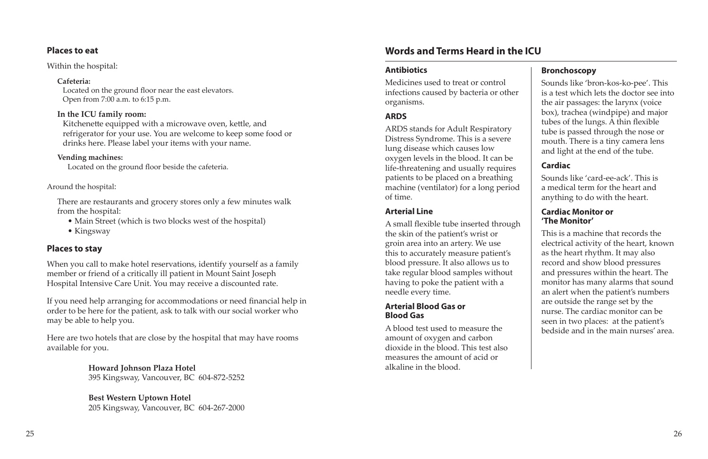#### **Places to eat**

#### Within the hospital:

#### **Cafeteria:**

Located on the ground floor near the east elevators. Open from 7:00 a.m. to 6:15 p.m.

#### **In the ICU family room:**

Kitchenette equipped with a microwave oven, kettle, and refrigerator for your use. You are welcome to keep some food or drinks here. Please label your items with your name.

#### **Vending machines:**

Located on the ground floor beside the cafeteria.

#### Around the hospital:

There are restaurants and grocery stores only a few minutes walk from the hospital:

- Main Street (which is two blocks west of the hospital)
- Kingsway

# **Places to stay**

When you call to make hotel reservations, identify yourself as a family member or friend of a critically ill patient in Mount Saint Joseph Hospital Intensive Care Unit. You may receive a discounted rate.

If you need help arranging for accommodations or need financial help in order to be here for the patient, ask to talk with our social worker who may be able to help you.

Here are two hotels that are close by the hospital that may have rooms available for you.

> **Howard Johnson Plaza Hotel** 395 Kingsway, Vancouver, BC 604-872-5252

# **Best Western Uptown Hotel**

205 Kingsway, Vancouver, BC 604-267-2000

## **Antibiotics**

Medicines used to treat or control infections caused by bacteria or other organisms.

### **ARDS**

ARDS stands for Adult Respiratory Distress Syndrome. This is a severe lung disease which causes low oxygen levels in the blood. It can be life-threatening and usually requires patients to be placed on a breathing machine (ventilator) for a long period of time.

### **Arterial Line**

A small flexible tube inserted through the skin of the patient's wrist or groin area into an artery. We use this to accurately measure patient's blood pressure. It also allows us to take regular blood samples without having to poke the patient with a needle every time.

#### **Arterial Blood Gas or Blood Gas**

A blood test used to measure the amount of oxygen and carbon dioxide in the blood. This test also measures the amount of acid or alkaline in the blood.

#### **Bronchoscopy**

Sounds like 'bron-kos-ko-pee'. This is a test which lets the doctor see into the air passages: the larynx (voice box), trachea (windpipe) and major tubes of the lungs. A thin flexible tube is passed through the nose or mouth. There is a tiny camera lens and light at the end of the tube.

#### **Cardiac**

Sounds like 'card-ee-ack'. This is a medical term for the heart and anything to do with the heart.

#### **Cardiac Monitor or 'The Monitor'**

This is a machine that records the electrical activity of the heart, known as the heart rhythm. It may also record and show blood pressures and pressures within the heart. The monitor has many alarms that sound an alert when the patient's numbers are outside the range set by the nurse. The cardiac monitor can be seen in two places: at the patient's bedside and in the main nurses' area.

# **Words and Terms Heard in the ICU**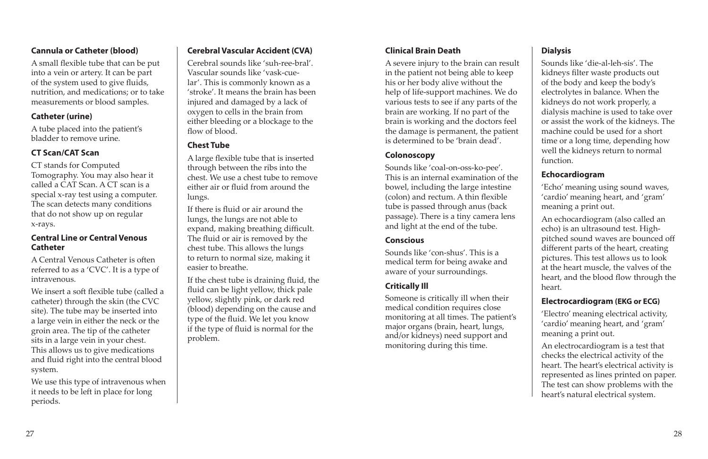## **Cannula or Catheter (blood)**

A small flexible tube that can be put into a vein or artery. It can be part of the system used to give fluids, nutrition, and medications; or to take measurements or blood samples.

### **Catheter (urine)**

A tube placed into the patient's bladder to remove urine.

# **CT Scan/CAT Scan**

CT stands for Computed Tomography. You may also hear it called a CAT Scan. A CT scan is a special x-ray test using a computer. The scan detects many conditions that do not show up on regular x-rays.

#### **Central Line or Central Venous Catheter**

A Central Venous Catheter is often referred to as a 'CVC'. It is a type of intravenous.

We insert a soft flexible tube (called a catheter) through the skin (the CVC site). The tube may be inserted into a large vein in either the neck or the groin area. The tip of the catheter sits in a large vein in your chest. This allows us to give medications and fluid right into the central blood system.

We use this type of intravenous when it needs to be left in place for long periods.

# **Cerebral Vascular Accident (CVA)**

Cerebral sounds like 'suh-ree-bral'. Vascular sounds like 'vask-cuelar'. This is commonly known as a 'stroke'. It means the brain has been injured and damaged by a lack of oxygen to cells in the brain from either bleeding or a blockage to the flow of blood.

# **Chest Tube**

A large flexible tube that is inserted through between the ribs into the chest. We use a chest tube to remove either air or fluid from around the lungs.

If there is fluid or air around the lungs, the lungs are not able to expand, making breathing difficult. The fluid or air is removed by the chest tube. This allows the lungs to return to normal size, making it easier to breathe.

If the chest tube is draining fluid, the fluid can be light yellow, thick pale yellow, slightly pink, or dark red (blood) depending on the cause and type of the fluid. We let you know if the type of fluid is normal for the problem.

# **Clinical Brain Death**

A severe injury to the brain can result in the patient not being able to keep his or her body alive without the help of life-support machines. We do various tests to see if any parts of the brain are working. If no part of the brain is working and the doctors feel the damage is permanent, the patient is determined to be 'brain dead'.

### **Colonoscopy**

Sounds like 'coal-on-oss-ko-pee'. This is an internal examination of the bowel, including the large intestine (colon) and rectum. A thin flexible tube is passed through anus (back passage). There is a tiny camera lens and light at the end of the tube.

# **Conscious**

Sounds like 'con-shus'. This is a medical term for being awake and aware of your surroundings.

# **Critically Ill**

Someone is critically ill when their medical condition requires close monitoring at all times. The patient's major organs (brain, heart, lungs, and/or kidneys) need support and monitoring during this time.

# **Dialysis**

Sounds like 'die-al-leh-sis'. The kidneys filter waste products out of the body and keep the body's electrolytes in balance. When the kidneys do not work properly, a dialysis machine is used to take over or assist the work of the kidneys. The machine could be used for a short time or a long time, depending how well the kidneys return to normal function.

### **Echocardiogram**

'Echo' meaning using sound waves, 'cardio' meaning heart, and 'gram' meaning a print out.

An echocardiogram (also called an echo) is an ultrasound test. Highpitched sound waves are bounced off different parts of the heart, creating pictures. This test allows us to look at the heart muscle, the valves of the heart, and the blood flow through the heart.

### **Electrocardiogram (EKG or ECG)**

'Electro' meaning electrical activity, 'cardio' meaning heart, and 'gram' meaning a print out.

An electrocardiogram is a test that checks the electrical activity of the heart. The heart's electrical activity is represented as lines printed on paper. The test can show problems with the heart's natural electrical system.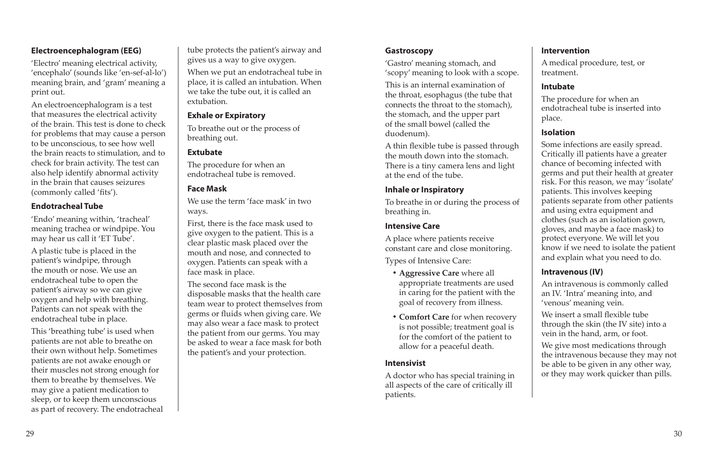## **Electroencephalogram (EEG)**

'Electro' meaning electrical activity, 'encephalo' (sounds like 'en-sef-al-lo') meaning brain, and 'gram' meaning a print out.

An electroencephalogram is a test that measures the electrical activity of the brain. This test is done to check for problems that may cause a person to be unconscious, to see how well the brain reacts to stimulation, and to check for brain activity. The test can also help identify abnormal activity in the brain that causes seizures (commonly called 'fits').

### **Endotracheal Tube**

'Endo' meaning within, 'tracheal' meaning trachea or windpipe. You may hear us call it 'ET Tube'.

A plastic tube is placed in the patient's windpipe, through the mouth or nose. We use an endotracheal tube to open the patient's airway so we can give oxygen and help with breathing. Patients can not speak with the endotracheal tube in place.

This 'breathing tube' is used when patients are not able to breathe on their own without help. Sometimes patients are not awake enough or their muscles not strong enough for them to breathe by themselves. We may give a patient medication to sleep, or to keep them unconscious as part of recovery. The endotracheal tube protects the patient's airway and gives us a way to give oxygen.

When we put an endotracheal tube in place, it is called an intubation. When we take the tube out, it is called an extubation.

### **Exhale or Expiratory**

To breathe out or the process of breathing out.

### **Extubate**

The procedure for when an endotracheal tube is removed.

## **Face Mask**

We use the term 'face mask' in two ways.

First, there is the face mask used to give oxygen to the patient. This is a clear plastic mask placed over the mouth and nose, and connected to oxygen. Patients can speak with a face mask in place.

The second face mask is the disposable masks that the health care team wear to protect themselves from germs or fluids when giving care. We may also wear a face mask to protect the patient from our germs. You may be asked to wear a face mask for both the patient's and your protection.

#### **Gastroscopy**

'Gastro' meaning stomach, and 'scopy' meaning to look with a scope.

This is an internal examination of the throat, esophagus (the tube that connects the throat to the stomach), the stomach, and the upper part of the small bowel (called the duodenum).

A thin flexible tube is passed through the mouth down into the stomach. There is a tiny camera lens and light at the end of the tube.

### **Inhale or Inspiratory**

To breathe in or during the process of breathing in.

## **Intensive Care**

A place where patients receive constant care and close monitoring.

Types of Intensive Care:

- **• Aggressive Care** where all appropriate treatments are used in caring for the patient with the goal of recovery from illness.
- **• Comfort Care** for when recovery is not possible; treatment goal is for the comfort of the patient to allow for a peaceful death.

### **Intensivist**

A doctor who has special training in all aspects of the care of critically ill patients.

### **Intervention**

A medical procedure, test, or treatment.

### **Intubate**

The procedure for when an endotracheal tube is inserted into place.

### **Isolation**

Some infections are easily spread. Critically ill patients have a greater chance of becoming infected with germs and put their health at greater risk. For this reason, we may 'isolate' patients. This involves keeping patients separate from other patients and using extra equipment and clothes (such as an isolation gown, gloves, and maybe a face mask) to protect everyone. We will let you know if we need to isolate the patient and explain what you need to do.

### **Intravenous (IV)**

An intravenous is commonly called an IV. 'Intra' meaning into, and 'venous' meaning vein.

We insert a small flexible tube through the skin (the IV site) into a vein in the hand, arm, or foot.

We give most medications through the intravenous because they may not be able to be given in any other way, or they may work quicker than pills.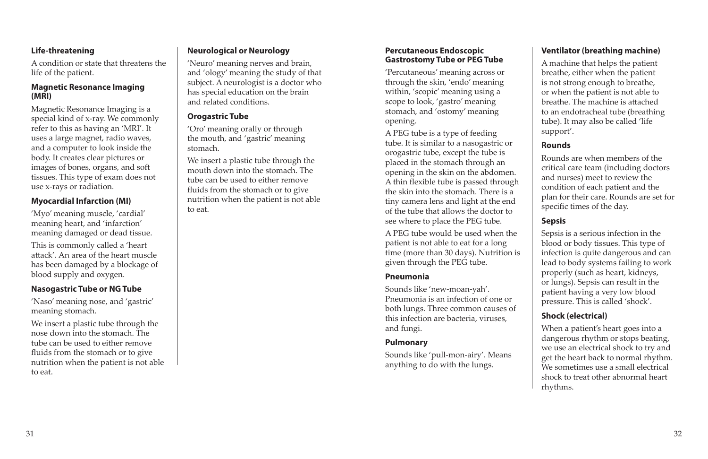## **Life-threatening**

A condition or state that threatens the life of the patient.

#### **Magnetic Resonance Imaging (MRI)**

Magnetic Resonance Imaging is a special kind of x-ray. We commonly refer to this as having an 'MRI'. It uses a large magnet, radio waves, and a computer to look inside the body. It creates clear pictures or images of bones, organs, and soft tissues. This type of exam does not use x-rays or radiation.

## **Myocardial Infarction (MI)**

'Myo' meaning muscle, 'cardial' meaning heart, and 'infarction' meaning damaged or dead tissue.

This is commonly called a 'heart attack'. An area of the heart muscle has been damaged by a blockage of blood supply and oxygen.

### **Nasogastric Tube or NG Tube**

'Naso' meaning nose, and 'gastric' meaning stomach.

We insert a plastic tube through the nose down into the stomach. The tube can be used to either remove fluids from the stomach or to give nutrition when the patient is not able to eat.

### **Neurological or Neurology**

'Neuro' meaning nerves and brain, and 'ology' meaning the study of that subject. A neurologist is a doctor who has special education on the brain and related conditions.

#### **Orogastric Tube**

'Oro' meaning orally or through the mouth, and 'gastric' meaning stomach.

We insert a plastic tube through the mouth down into the stomach. The tube can be used to either remove fluids from the stomach or to give nutrition when the patient is not able to eat.

#### **Percutaneous Endoscopic Gastrostomy Tube or PEG Tube**

'Percutaneous' meaning across or through the skin, 'endo' meaning within, 'scopic' meaning using a scope to look, 'gastro' meaning stomach, and 'ostomy' meaning opening.

A PEG tube is a type of feeding tube. It is similar to a nasogastric or orogastric tube, except the tube is placed in the stomach through an opening in the skin on the abdomen. A thin flexible tube is passed through the skin into the stomach. There is a tiny camera lens and light at the end of the tube that allows the doctor to see where to place the PEG tube.

A PEG tube would be used when the patient is not able to eat for a long time (more than 30 days). Nutrition is given through the PEG tube.

#### **Pneumonia**

Sounds like 'new-moan-yah'. Pneumonia is an infection of one or both lungs. Three common causes of this infection are bacteria, viruses, and fungi.

#### **Pulmonary**

Sounds like 'pull-mon-airy'. Means anything to do with the lungs.

# **Ventilator (breathing machine)**

A machine that helps the patient breathe, either when the patient is not strong enough to breathe, or when the patient is not able to breathe. The machine is attached to an endotracheal tube (breathing tube). It may also be called 'life support'.

# **Rounds**

Rounds are when members of the critical care team (including doctors and nurses) meet to review the condition of each patient and the plan for their care. Rounds are set for specific times of the day.

# **Sepsis**

Sepsis is a serious infection in the blood or body tissues. This type of infection is quite dangerous and can lead to body systems failing to work properly (such as heart, kidneys, or lungs). Sepsis can result in the patient having a very low blood pressure. This is called 'shock'.

# **Shock (electrical)**

When a patient's heart goes into a dangerous rhythm or stops beating, we use an electrical shock to try and get the heart back to normal rhythm. We sometimes use a small electrical shock to treat other abnormal heart rhythms.